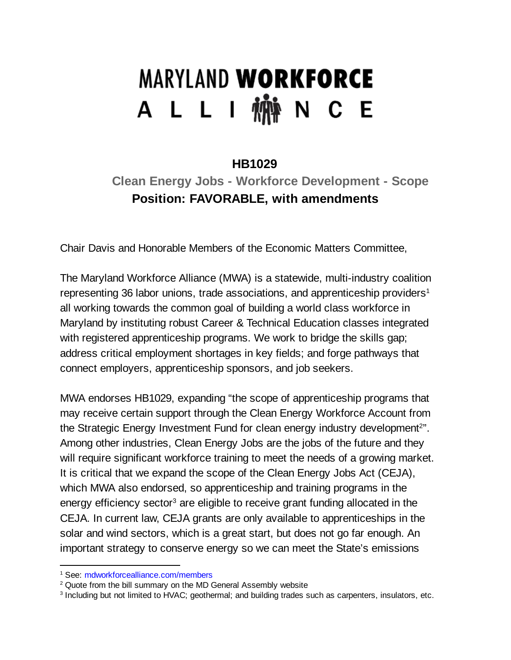# **MARYLAND WORKFORCE** A L L I 椭 N C E

### **HB1029**

### **Clean Energy Jobs - Workforce Development - Scope Position: FAVORABLE, with amendments**

Chair Davis and Honorable Members of the Economic Matters Committee,

The Maryland Workforce Alliance (MWA) is a statewide, multi-industry coalition representing 36 labor unions, trade associations, and apprenticeship providers $^1$ all working towards the common goal of building a world class workforce in Maryland by instituting robust Career & Technical Education classes integrated with registered apprenticeship programs. We work to bridge the skills gap; address critical employment shortages in key fields; and forge pathways that connect employers, apprenticeship sponsors, and job seekers.

MWA endorses HB1029, expanding "the scope of apprenticeship programs that may receive certain support through the Clean Energy Workforce Account from the Strategic Energy Investment Fund for clean energy industry development<sup>2</sup>". Among other industries, Clean Energy Jobs are the jobs of the future and they will require significant workforce training to meet the needs of a growing market. It is critical that we expand the scope of the Clean Energy Jobs Act (CEJA), which MWA also endorsed, so apprenticeship and training programs in the energy efficiency sector<sup>3</sup> are eligible to receive grant funding allocated in the CEJA. In current law, CEJA grants are only available to apprenticeships in the solar and wind sectors, which is a great start, but does not go far enough. An important strategy to conserve energy so we can meet the State's emissions

<sup>&</sup>lt;sup>1</sup> See: mdworkforcealliance.com/members

<sup>&</sup>lt;sup>2</sup> Quote from the bill summary on the MD General Assembly website

<sup>3</sup> Including but not limited to HVAC; geothermal; and building trades such as carpenters, insulators, etc.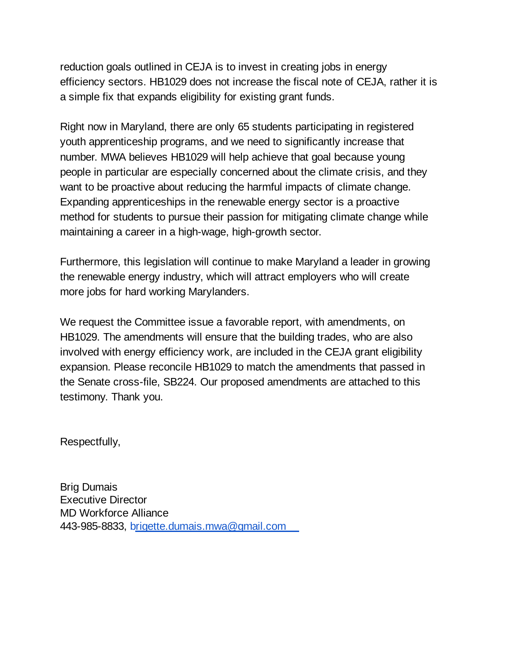reduction goals outlined in CEJA is to invest in creating jobs in energy efficiency sectors. HB1029 does not increase the fiscal note of CEJA, rather it is a simple fix that expands eligibility for existing grant funds.

Right now in Maryland, there are only 65 students participating in registered youth apprenticeship programs, and we need to significantly increase that number. MWA believes HB1029 will help achieve that goal because young people in particular are especially concerned about the climate crisis, and they want to be proactive about reducing the harmful impacts of climate change. Expanding apprenticeships in the renewable energy sector is a proactive method for students to pursue their passion for mitigating climate change while maintaining a career in a high-wage, high-growth sector.

Furthermore, this legislation will continue to make Maryland a leader in growing the renewable energy industry, which will attract employers who will create more jobs for hard working Marylanders.

We request the Committee issue a favorable report, with amendments, on HB1029. The amendments will ensure that the building trades, who are also involved with energy efficiency work, are included in the CEJA grant eligibility expansion. Please reconcile HB1029 to match the amendments that passed in the Senate cross-file, SB224. Our proposed amendments are attached to this testimony. Thank you.

Respectfully,

Brig Dumais Executive Director MD Workforce Alliance 443-985-8833, [brigette.dumais.mwa@gmail.com](mailto:brigette.dumais.mwa@gmail.com)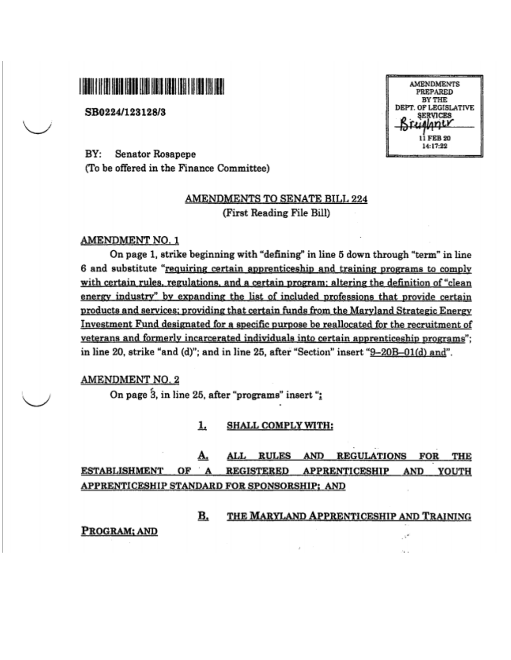## **I BALLARY IN HELL IS THE UNIT BEEN DESCRIPTION OF A STATE OF A STATE OF A STATE OF A STATE OF A STATE OF A ST**

SB0224/123128/3

**AMENDMENTS** PREPARED **BY THE** DEPT. OF LEGISLATIVE **SERVICES** Alanty 11 FEB 20 14:17:22

BY: **Senator Rosapepe** (To be offered in the Finance Committee)

#### AMENDMENTS TO SENATE BILL 224 (First Reading File Bill)

#### **AMENDMENT NO. 1**

On page 1, strike beginning with "defining" in line 5 down through "term" in line 6 and substitute "requiring certain apprenticeship and training programs to comply with certain rules, regulations, and a certain program; altering the definition of "clean energy industry" by expanding the list of included professions that provide certain products and services; providing that certain funds from the Maryland Strategic Energy Investment Fund designated for a specific purpose be reallocated for the recruitment of veterans and formerly incarcerated individuals into certain apprenticeship programs"; in line 20, strike "and (d)"; and in line 25, after "Section" insert "<u>9–20B–01(d) and</u>".

AMENDMENT NO. 2

On page 3, in line 25, after "programs" insert ":

1. **SHALL COMPLY WITH:** 

А. ALL RULES AND REGULATIONS FOR THE ESTABLISHMENT OF A **REGISTERED APPRENTICESHIP** AND YOUTH APPRENTICESHIP STANDARD FOR SPONSORSHIP; AND

> B. THE MARYLAND APPRENTICESHIP AND TRAINING

> > $\mathcal{C}^{\mathcal{C}}$

PROGRAM; AND